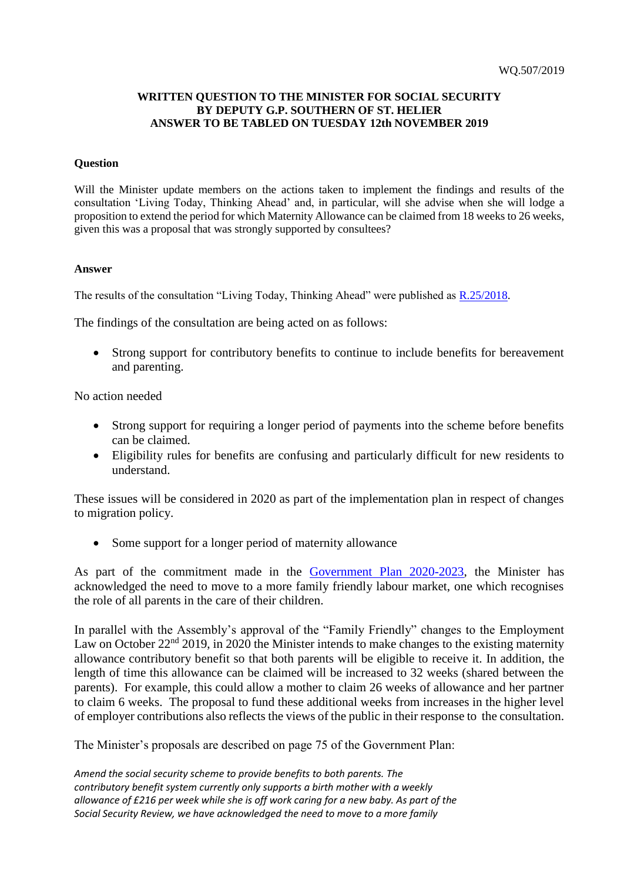## **WRITTEN QUESTION TO THE MINISTER FOR SOCIAL SECURITY BY DEPUTY G.P. SOUTHERN OF ST. HELIER ANSWER TO BE TABLED ON TUESDAY 12th NOVEMBER 2019**

## **Question**

Will the Minister update members on the actions taken to implement the findings and results of the consultation 'Living Today, Thinking Ahead' and, in particular, will she advise when she will lodge a proposition to extend the period for which Maternity Allowance can be claimed from 18 weeks to 26 weeks, given this was a proposal that was strongly supported by consultees?

## **Answer**

The results of the consultation "Living Today, Thinking Ahead" were published as [R.25/2018.](https://statesassembly.gov.je/assemblyreports/2018/r.25-2018.pdf)

The findings of the consultation are being acted on as follows:

• Strong support for contributory benefits to continue to include benefits for bereavement and parenting.

No action needed

- Strong support for requiring a longer period of payments into the scheme before benefits can be claimed.
- Eligibility rules for benefits are confusing and particularly difficult for new residents to understand.

These issues will be considered in 2020 as part of the implementation plan in respect of changes to migration policy.

• Some support for a longer period of maternity allowance

As part of the commitment made in the [Government Plan 2020-2023,](https://statesassembly.gov.je/assemblypropositions/2019/p.71-2019.pdf) the Minister has acknowledged the need to move to a more family friendly labour market, one which recognises the role of all parents in the care of their children.

In parallel with the Assembly's approval of the "Family Friendly" changes to the Employment Law on October 22<sup>nd</sup> 2019, in 2020 the Minister intends to make changes to the existing maternity allowance contributory benefit so that both parents will be eligible to receive it. In addition, the length of time this allowance can be claimed will be increased to 32 weeks (shared between the parents). For example, this could allow a mother to claim 26 weeks of allowance and her partner to claim 6 weeks. The proposal to fund these additional weeks from increases in the higher level of employer contributions also reflects the views of the public in their response to the consultation.

The Minister's proposals are described on page 75 of the Government Plan:

*Amend the social security scheme to provide benefits to both parents. The contributory benefit system currently only supports a birth mother with a weekly allowance of £216 per week while she is off work caring for a new baby. As part of the Social Security Review, we have acknowledged the need to move to a more family*